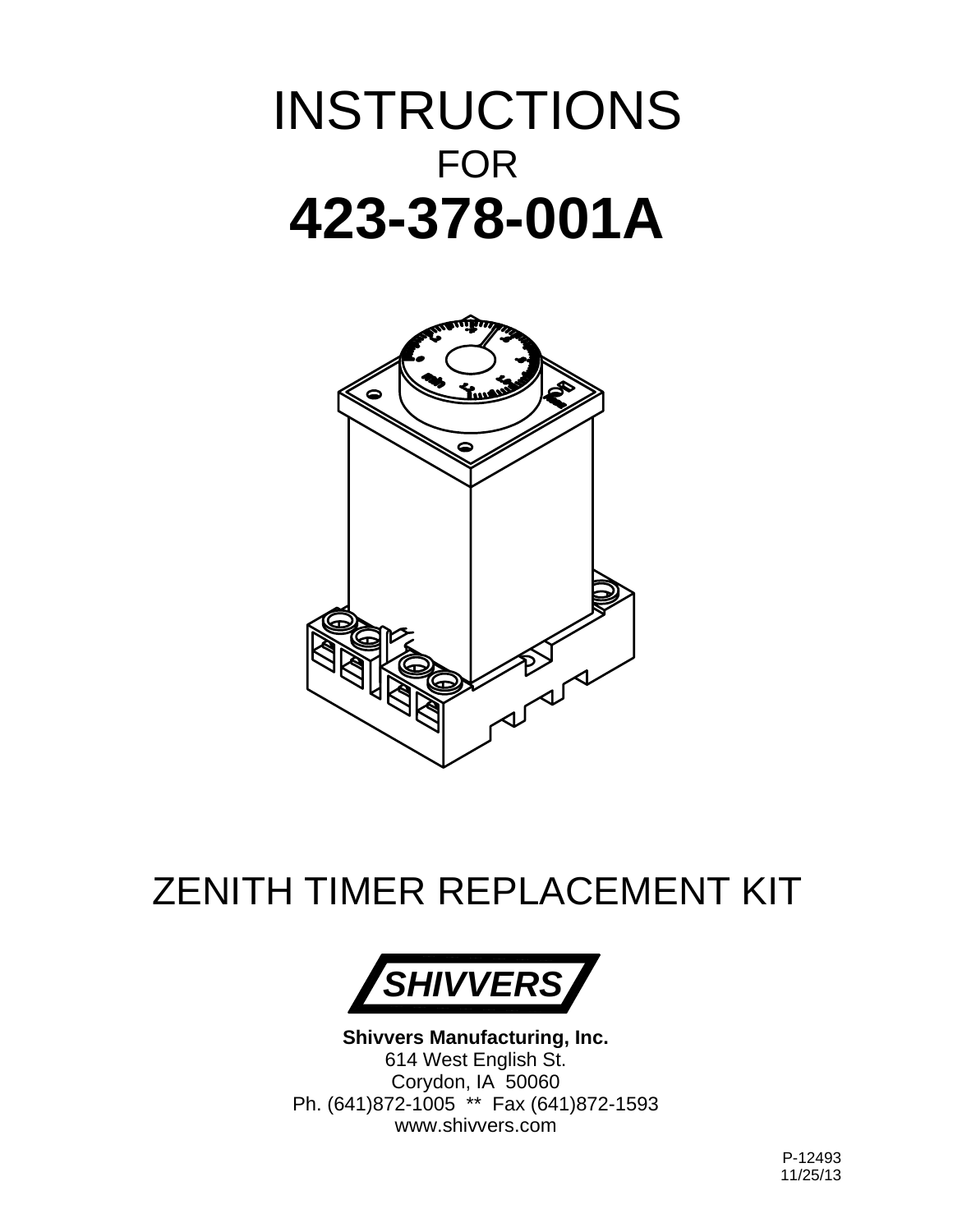# INSTRUCTIONS FOR **423-378-001A**



# ZENITH TIMER REPLACEMENT KIT



**Shivvers Manufacturing, Inc.** 614 West English St. Corydon, IA 50060 Ph. (641)872-1005 \*\* Fax (641)872-1593 www.shivvers.com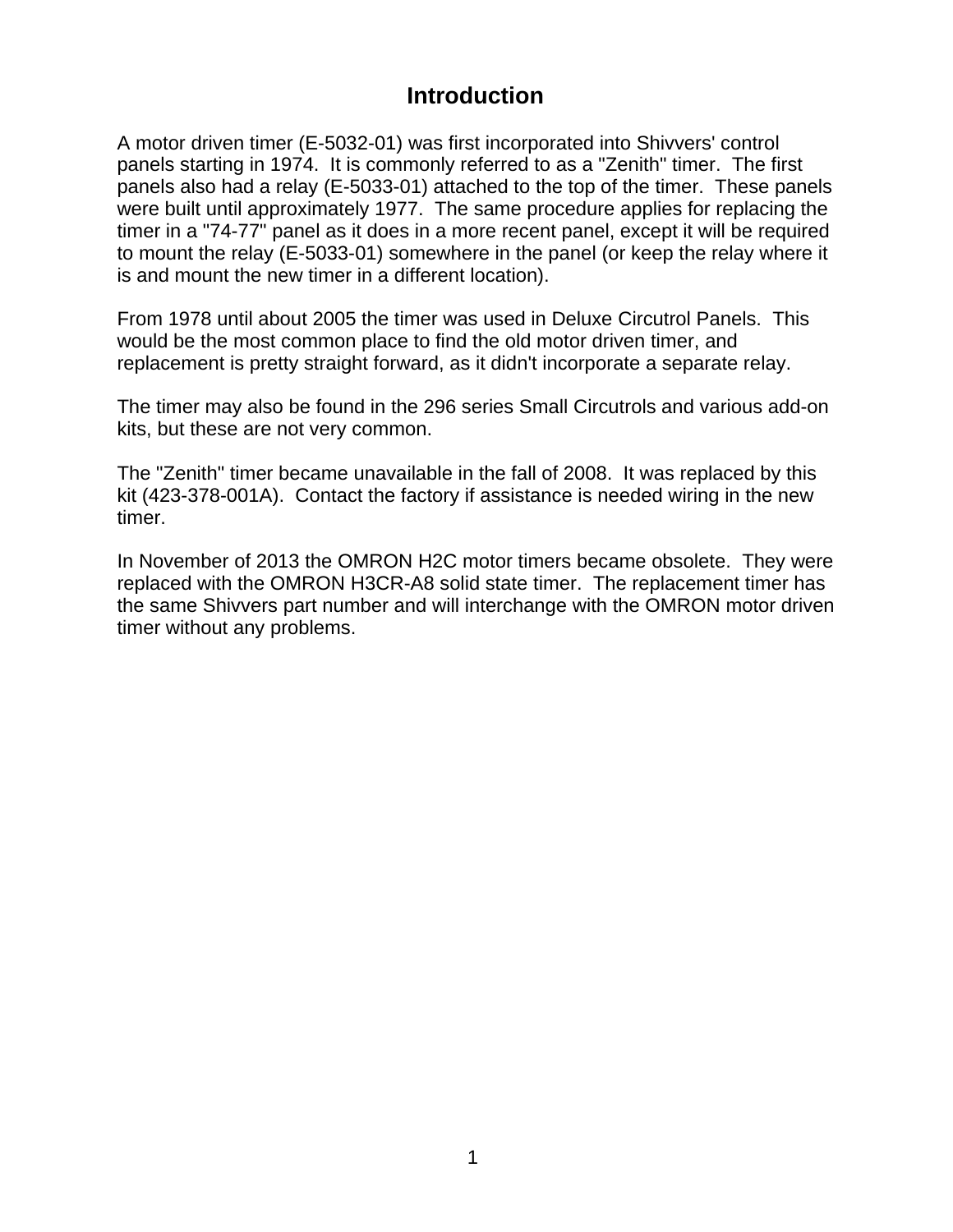#### **Introduction**

A motor driven timer (E-5032-01) was first incorporated into Shivvers' control panels starting in 1974. It is commonly referred to as a "Zenith" timer. The first panels also had a relay (E-5033-01) attached to the top of the timer. These panels were built until approximately 1977. The same procedure applies for replacing the timer in a "74-77" panel as it does in a more recent panel, except it will be required to mount the relay (E-5033-01) somewhere in the panel (or keep the relay where it is and mount the new timer in a different location).

From 1978 until about 2005 the timer was used in Deluxe Circutrol Panels. This would be the most common place to find the old motor driven timer, and replacement is pretty straight forward, as it didn't incorporate a separate relay.

The timer may also be found in the 296 series Small Circutrols and various add-on kits, but these are not very common.

The "Zenith" timer became unavailable in the fall of 2008. It was replaced by this kit (423-378-001A). Contact the factory if assistance is needed wiring in the new timer.

In November of 2013 the OMRON H2C motor timers became obsolete. They were replaced with the OMRON H3CR-A8 solid state timer. The replacement timer has the same Shivvers part number and will interchange with the OMRON motor driven timer without any problems.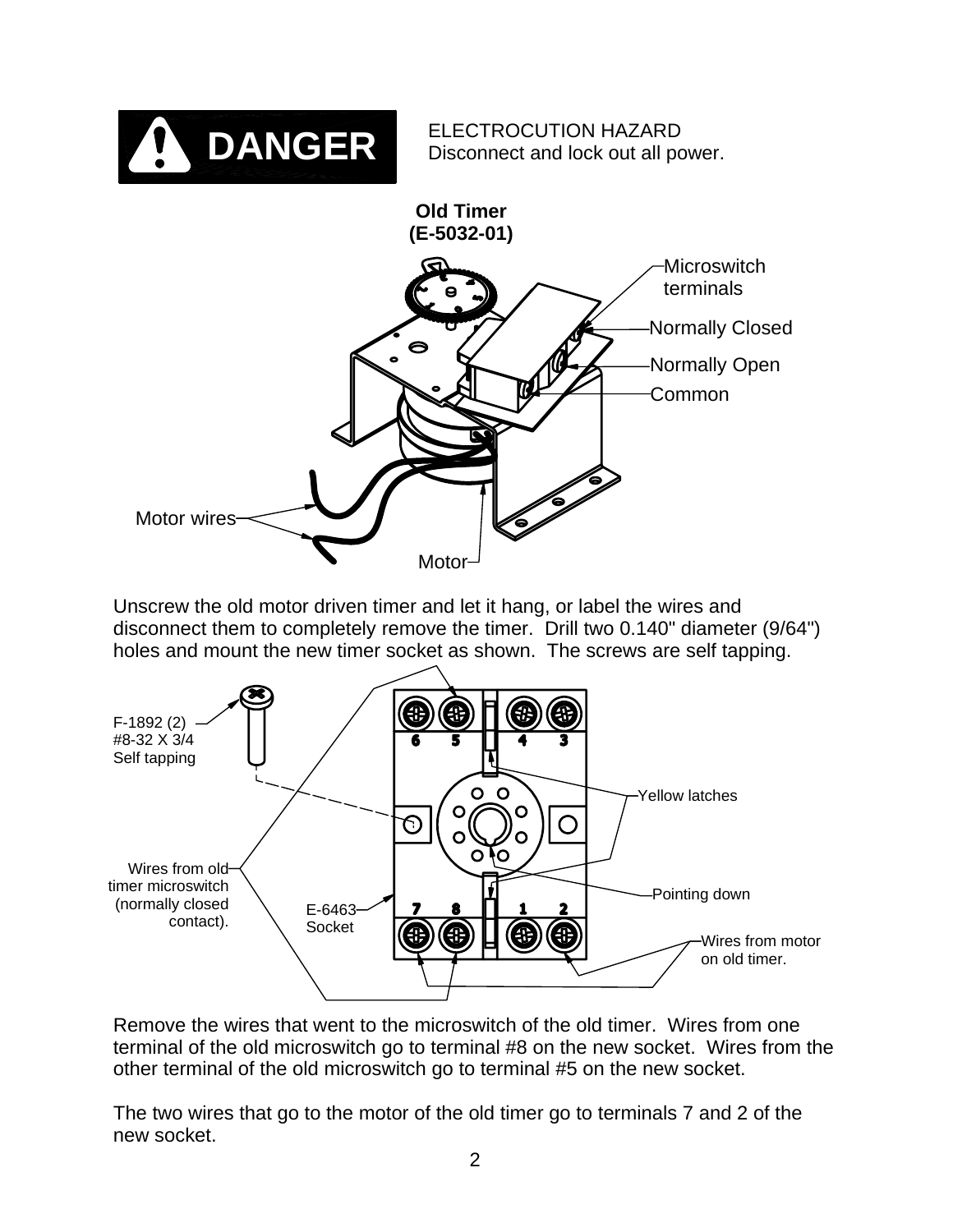

Unscrew the old motor driven timer and let it hang, or label the wires and disconnect them to completely remove the timer. Drill two 0.140" diameter (9/64") holes and mount the new timer socket as shown. The screws are self tapping.

![](_page_2_Figure_2.jpeg)

Remove the wires that went to the microswitch of the old timer. Wires from one terminal of the old microswitch go to terminal #8 on the new socket. Wires from the other terminal of the old microswitch go to terminal #5 on the new socket.

The two wires that go to the motor of the old timer go to terminals 7 and 2 of the new socket.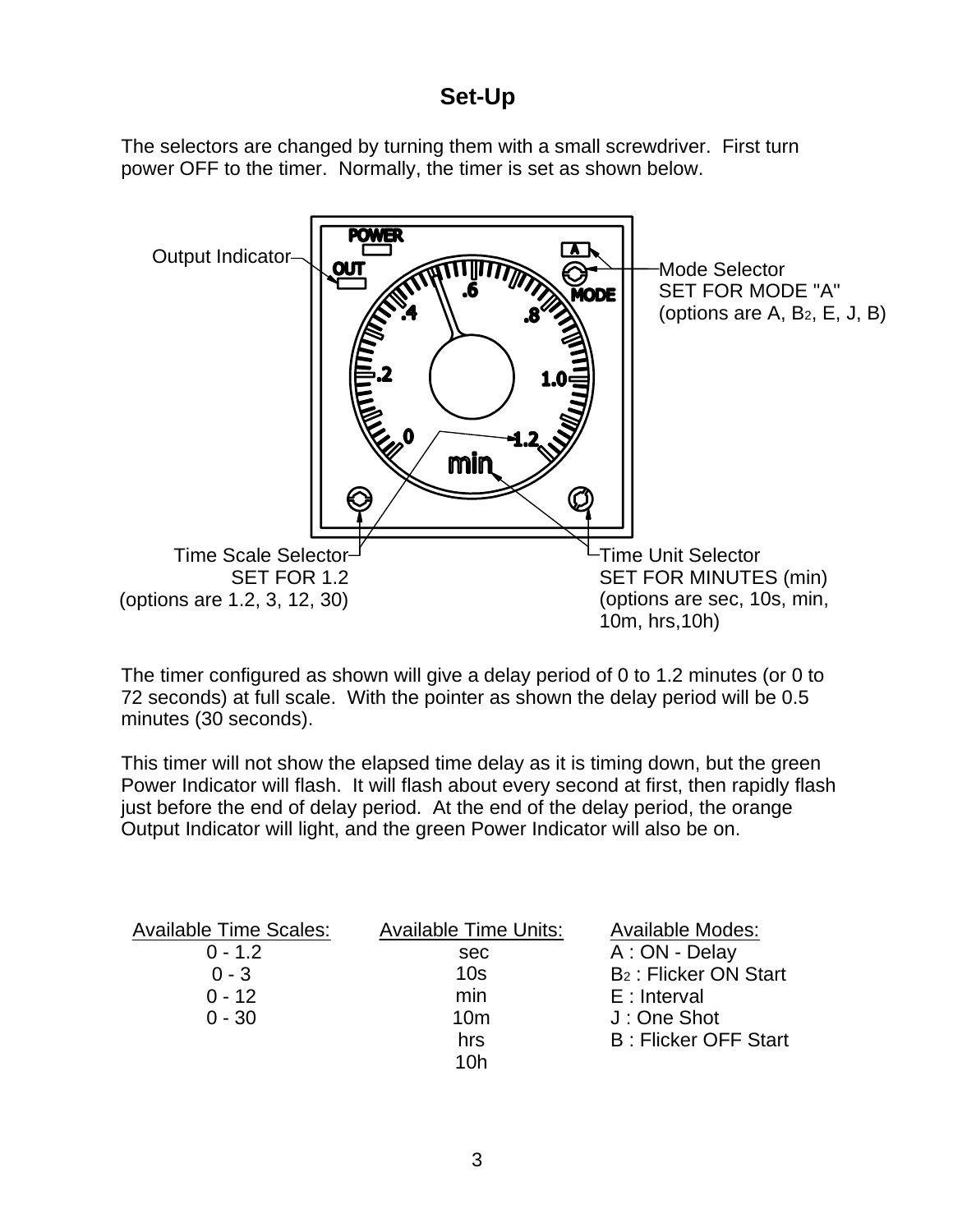## **Set-Up**

The selectors are changed by turning them with a small screwdriver. First turn power OFF to the timer. Normally, the timer is set as shown below.

![](_page_3_Figure_2.jpeg)

The timer configured as shown will give a delay period of 0 to 1.2 minutes (or 0 to 72 seconds) at full scale. With the pointer as shown the delay period will be 0.5 minutes (30 seconds).

This timer will not show the elapsed time delay as it is timing down, but the green Power Indicator will flash. It will flash about every second at first, then rapidly flash just before the end of delay period. At the end of the delay period, the orange Output Indicator will light, and the green Power Indicator will also be on.

| <b>Available Time Scales:</b> | <b>Available Time Units:</b> | <b>Available Modes:</b>                 |
|-------------------------------|------------------------------|-----------------------------------------|
| $0 - 1.2$                     | sec                          | A : ON - Delay                          |
| $0 - 3$                       | 10 <sub>s</sub>              | <b>B<sub>2</sub></b> : Flicker ON Start |
| $0 - 12$                      | min                          | $E:$ Interval                           |
| $0 - 30$                      | 10 <sub>m</sub>              | J: One Shot                             |
|                               | hrs                          | <b>B: Flicker OFF Start</b>             |
|                               | 10h                          |                                         |